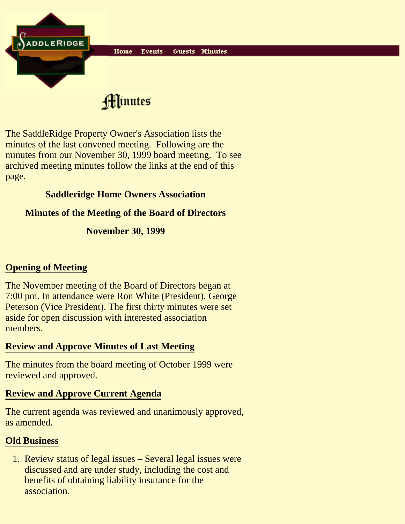

Hinutes

The SaddleRidge Property Owner's Association lists the minutes of the last convened meeting. Following are the minutes from our November 30, 1999 board meeting. To see archived meeting minutes follow the links at the end of this page.

# **Saddleridge Home Owners Association**

## **Minutes of the Meeting of the Board of Directors**

### **November 30, 1999**

# **Opening of Meeting**

The November meeting of the Board of Directors began at 7:00 pm. In attendance were Ron White (President), George Peterson (Vice President). The first thirty minutes were set aside for open discussion with interested association members.

## **Review and Approve Minutes of Last Meeting**

The minutes from the board meeting of October 1999 were reviewed and approved.

## **Review and Approve Current Agenda**

The current agenda was reviewed and unanimously approved, as amended.

## **Old Business**

1. Review status of legal issues - Several legal issues were discussed and are under study, including the cost and benefits of obtaining liability insurance for the association.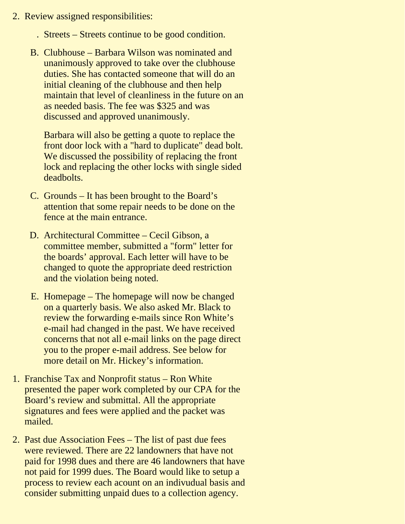- 2. Review assigned responsibilities:
	- . Streets Streets continue to be good condition.
	- Clubhouse Barbara Wilson was nominated and B. unanimously approved to take over the clubhouse duties. She has contacted someone that will do an initial cleaning of the clubhouse and then help maintain that level of cleanliness in the future on an as needed basis. The fee was \$325 and was discussed and approved unanimously.

Barbara will also be getting a quote to replace the front door lock with a "hard to duplicate" dead bolt. We discussed the possibility of replacing the front lock and replacing the other locks with single sided deadbolts.

- C. Grounds It has been brought to the Board's attention that some repair needs to be done on the fence at the main entrance.
- Architectural Committee Cecil Gibson, a D. committee member, submitted a "form" letter for the boards' approval. Each letter will have to be changed to quote the appropriate deed restriction and the violation being noted.
- E. Homepage The homepage will now be changed on a quarterly basis. We also asked Mr. Black to review the forwarding e-mails since Ron White's e-mail had changed in the past. We have received concerns that not all e-mail links on the page direct you to the proper e-mail address. See below for more detail on Mr. Hickey's information.
- 1. Franchise Tax and Nonprofit status Ron White presented the paper work completed by our CPA for the Board's review and submittal. All the appropriate signatures and fees were applied and the packet was mailed.
- 2. Past due Association Fees The list of past due fees were reviewed. There are 22 landowners that have not paid for 1998 dues and there are 46 landowners that have not paid for 1999 dues. The Board would like to setup a process to review each acount on an indivudual basis and consider submitting unpaid dues to a collection agency.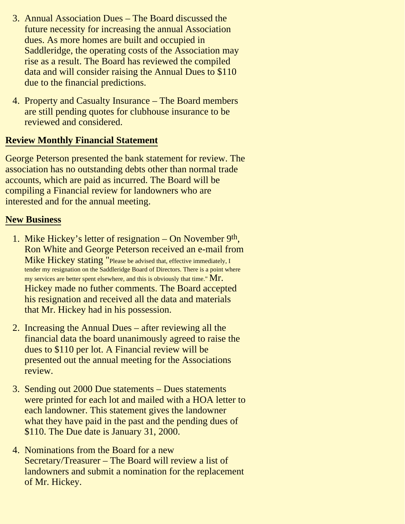- Annual Association Dues The Board discussed the 3. future necessity for increasing the annual Association dues. As more homes are built and occupied in Saddleridge, the operating costs of the Association may rise as a result. The Board has reviewed the compiled data and will consider raising the Annual Dues to \$110 due to the financial predictions.
- 4. Property and Casualty Insurance The Board members are still pending quotes for clubhouse insurance to be reviewed and considered.

### **Review Monthly Financial Statement**

George Peterson presented the bank statement for review. The association has no outstanding debts other than normal trade accounts, which are paid as incurred. The Board will be compiling a Financial review for landowners who are interested and for the annual meeting.

#### **New Business**

- 1. Mike Hickey's letter of resignation On November 9<sup>th</sup>, Ron White and George Peterson received an e-mail from Mike Hickey stating "Please be advised that, effective immediately, I tender my resignation on the Saddleridge Board of Directors. There is a point where my services are better spent elsewhere, and this is obviously that time."  $Mr.$ Hickey made no futher comments. The Board accepted his resignation and received all the data and materials that Mr. Hickey had in his possession.
- 2. Increasing the Annual Dues after reviewing all the financial data the board unanimously agreed to raise the dues to \$110 per lot. A Financial review will be presented out the annual meeting for the Associations review.
- 3. Sending out 2000 Due statements Dues statements were printed for each lot and mailed with a HOA letter to each landowner. This statement gives the landowner what they have paid in the past and the pending dues of \$110. The Due date is January 31, 2000.
- 4. Nominations from the Board for a new Secretary/Treasurer – The Board will review a list of landowners and submit a nomination for the replacement of Mr. Hickey.